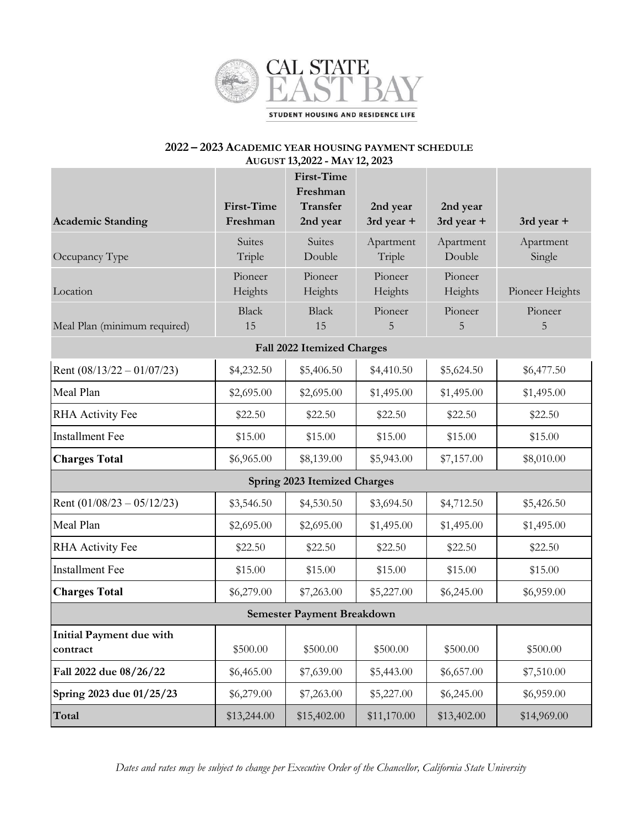

# **2022 – 2023 ACADEMIC YEAR HOUSING PAYMENT SCHEDULE AUGUST 13,2022 - MAY 12, 2023**

|                                      |                                                                    | <b>First-Time</b><br>Freshman      |                        |                        |                     |  |  |
|--------------------------------------|--------------------------------------------------------------------|------------------------------------|------------------------|------------------------|---------------------|--|--|
| <b>Academic Standing</b>             | First-Time<br>Freshman                                             | <b>Transfer</b><br>2nd year        | 2nd year<br>3rd year + | 2nd year<br>3rd year + | 3rd year +          |  |  |
| Occupancy Type                       | Suites<br>Triple                                                   | Suites<br>Double                   | Apartment<br>Triple    | Apartment<br>Double    | Apartment<br>Single |  |  |
| Location                             | Pioneer<br>Heights                                                 | Pioneer<br>Heights                 | Pioneer<br>Heights     | Pioneer<br>Heights     | Pioneer Heights     |  |  |
| Meal Plan (minimum required)         | <b>Black</b><br>15                                                 | Pioneer<br><b>Black</b><br>15<br>5 |                        | Pioneer<br>5           | Pioneer<br>5        |  |  |
| <b>Fall 2022 Itemized Charges</b>    |                                                                    |                                    |                        |                        |                     |  |  |
| Rent $(08/13/22 - 01/07/23)$         | \$4,232.50                                                         | \$5,406.50                         | \$4,410.50             | \$5,624.50             | \$6,477.50          |  |  |
| Meal Plan                            | \$2,695.00                                                         | \$2,695.00                         | \$1,495.00             | \$1,495.00             | \$1,495.00          |  |  |
| <b>RHA Activity Fee</b>              | \$22.50                                                            | \$22.50                            | \$22.50                | \$22.50                | \$22.50             |  |  |
| <b>Installment Fee</b>               | \$15.00                                                            | \$15.00                            | \$15.00                | \$15.00                | \$15.00             |  |  |
| <b>Charges Total</b>                 | \$6,965.00                                                         | \$8,139.00                         | \$5,943.00             | \$7,157.00             | \$8,010.00          |  |  |
| <b>Spring 2023 Itemized Charges</b>  |                                                                    |                                    |                        |                        |                     |  |  |
| Rent $(01/08/23 - 05/12/23)$         | \$3,546.50                                                         | \$4,530.50                         |                        | \$4,712.50             | \$5,426.50          |  |  |
| Meal Plan                            | \$2,695.00                                                         | \$2,695.00                         | \$1,495.00             | \$1,495.00             | \$1,495.00          |  |  |
| <b>RHA Activity Fee</b>              | \$22.50                                                            | \$22.50                            | \$22.50                | \$22.50                | \$22.50             |  |  |
| <b>Installment Fee</b>               | \$15.00                                                            | \$15.00                            | \$15.00                | \$15.00                | \$15.00             |  |  |
| <b>Charges Total</b>                 | \$6,279.00                                                         | \$7,263.00                         | \$5,227.00             | \$6,245.00             | \$6,959.00          |  |  |
| <b>Semester Payment Breakdown</b>    |                                                                    |                                    |                        |                        |                     |  |  |
| Initial Payment due with<br>contract | \$500.00                                                           | \$500.00                           | \$500.00               | \$500.00               | \$500.00            |  |  |
| Fall 2022 due 08/26/22               | \$6,465.00                                                         | \$7,639.00                         | \$5,443.00             | \$6,657.00             | \$7,510.00          |  |  |
| Spring 2023 due 01/25/23             | \$6,279.00<br>\$5,227.00<br>\$7,263.00<br>\$6,245.00<br>\$6,959.00 |                                    |                        |                        |                     |  |  |
| Total                                | \$13,244.00<br>\$15,402.00<br>\$13,402.00<br>\$11,170.00           |                                    | \$14,969.00            |                        |                     |  |  |